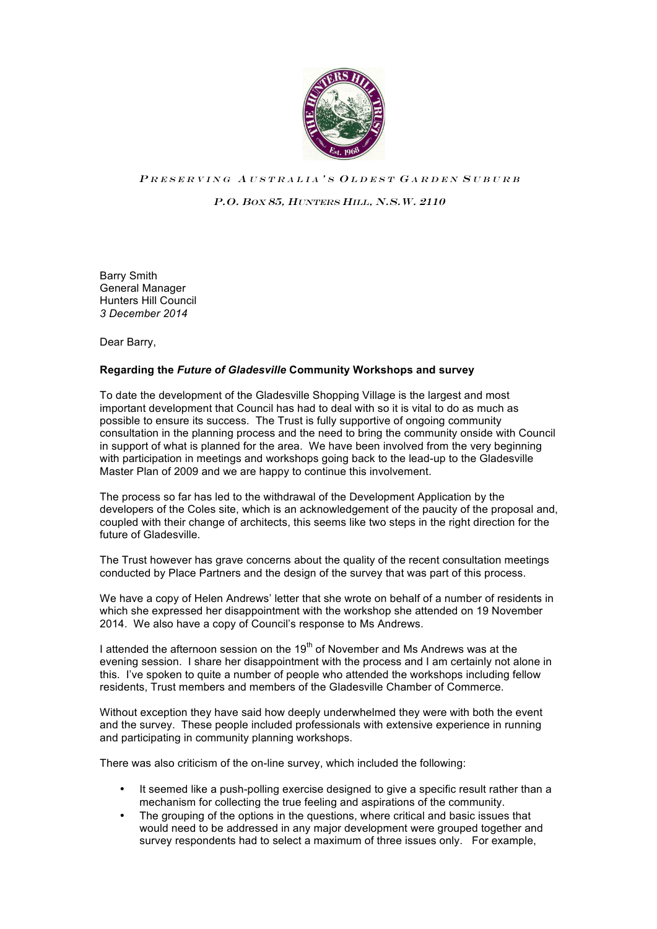

## PRESERVING AUSTRALIA'S OLDEST GARDEN SUBURB

P.O. BOX 85, HUNTERS HILL, N.S.W. 2110

Barry Smith General Manager Hunters Hill Council *3 December 2014*

Dear Barry,

## **Regarding the** *Future of Gladesville* **Community Workshops and survey**

To date the development of the Gladesville Shopping Village is the largest and most important development that Council has had to deal with so it is vital to do as much as possible to ensure its success. The Trust is fully supportive of ongoing community consultation in the planning process and the need to bring the community onside with Council in support of what is planned for the area. We have been involved from the very beginning with participation in meetings and workshops going back to the lead-up to the Gladesville Master Plan of 2009 and we are happy to continue this involvement.

The process so far has led to the withdrawal of the Development Application by the developers of the Coles site, which is an acknowledgement of the paucity of the proposal and, coupled with their change of architects, this seems like two steps in the right direction for the future of Gladesville.

The Trust however has grave concerns about the quality of the recent consultation meetings conducted by Place Partners and the design of the survey that was part of this process.

We have a copy of Helen Andrews' letter that she wrote on behalf of a number of residents in which she expressed her disappointment with the workshop she attended on 19 November 2014. We also have a copy of Council's response to Ms Andrews.

I attended the afternoon session on the  $19<sup>th</sup>$  of November and Ms Andrews was at the evening session. I share her disappointment with the process and I am certainly not alone in this. I've spoken to quite a number of people who attended the workshops including fellow residents, Trust members and members of the Gladesville Chamber of Commerce.

Without exception they have said how deeply underwhelmed they were with both the event and the survey. These people included professionals with extensive experience in running and participating in community planning workshops.

There was also criticism of the on-line survey, which included the following:

- It seemed like a push-polling exercise designed to give a specific result rather than a mechanism for collecting the true feeling and aspirations of the community.
- The grouping of the options in the questions, where critical and basic issues that would need to be addressed in any major development were grouped together and survey respondents had to select a maximum of three issues only. For example,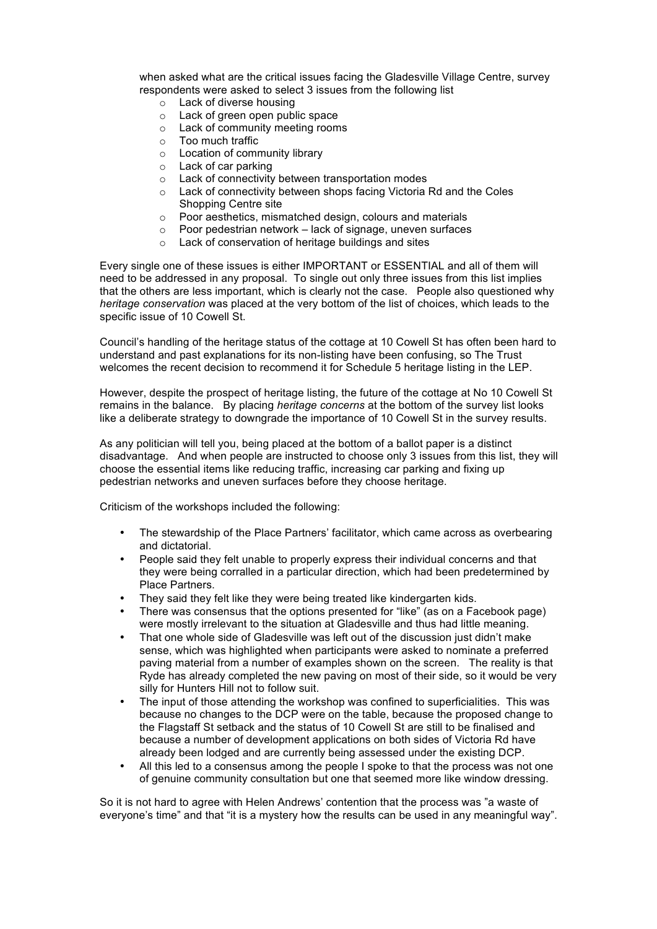when asked what are the critical issues facing the Gladesville Village Centre, survey respondents were asked to select 3 issues from the following list

- o Lack of diverse housing
- o Lack of green open public space
- o Lack of community meeting rooms
- o Too much traffic
- o Location of community library
- o Lack of car parking
- o Lack of connectivity between transportation modes
- o Lack of connectivity between shops facing Victoria Rd and the Coles Shopping Centre site
- o Poor aesthetics, mismatched design, colours and materials
- o Poor pedestrian network lack of signage, uneven surfaces
- o Lack of conservation of heritage buildings and sites

Every single one of these issues is either IMPORTANT or ESSENTIAL and all of them will need to be addressed in any proposal. To single out only three issues from this list implies that the others are less important, which is clearly not the case. People also questioned why *heritage conservation* was placed at the very bottom of the list of choices, which leads to the specific issue of 10 Cowell St.

Council's handling of the heritage status of the cottage at 10 Cowell St has often been hard to understand and past explanations for its non-listing have been confusing, so The Trust welcomes the recent decision to recommend it for Schedule 5 heritage listing in the LEP.

However, despite the prospect of heritage listing, the future of the cottage at No 10 Cowell St remains in the balance. By placing *heritage concerns* at the bottom of the survey list looks like a deliberate strategy to downgrade the importance of 10 Cowell St in the survey results.

As any politician will tell you, being placed at the bottom of a ballot paper is a distinct disadvantage. And when people are instructed to choose only 3 issues from this list, they will choose the essential items like reducing traffic, increasing car parking and fixing up pedestrian networks and uneven surfaces before they choose heritage.

Criticism of the workshops included the following:

- The stewardship of the Place Partners' facilitator, which came across as overbearing and dictatorial.
- People said they felt unable to properly express their individual concerns and that they were being corralled in a particular direction, which had been predetermined by Place Partners.
- They said they felt like they were being treated like kindergarten kids.
- There was consensus that the options presented for "like" (as on a Facebook page) were mostly irrelevant to the situation at Gladesville and thus had little meaning.
- That one whole side of Gladesville was left out of the discussion just didn't make sense, which was highlighted when participants were asked to nominate a preferred paving material from a number of examples shown on the screen. The reality is that Ryde has already completed the new paving on most of their side, so it would be very silly for Hunters Hill not to follow suit.
- The input of those attending the workshop was confined to superficialities. This was because no changes to the DCP were on the table, because the proposed change to the Flagstaff St setback and the status of 10 Cowell St are still to be finalised and because a number of development applications on both sides of Victoria Rd have already been lodged and are currently being assessed under the existing DCP.
- All this led to a consensus among the people I spoke to that the process was not one of genuine community consultation but one that seemed more like window dressing.

So it is not hard to agree with Helen Andrews' contention that the process was "a waste of everyone's time" and that "it is a mystery how the results can be used in any meaningful way".